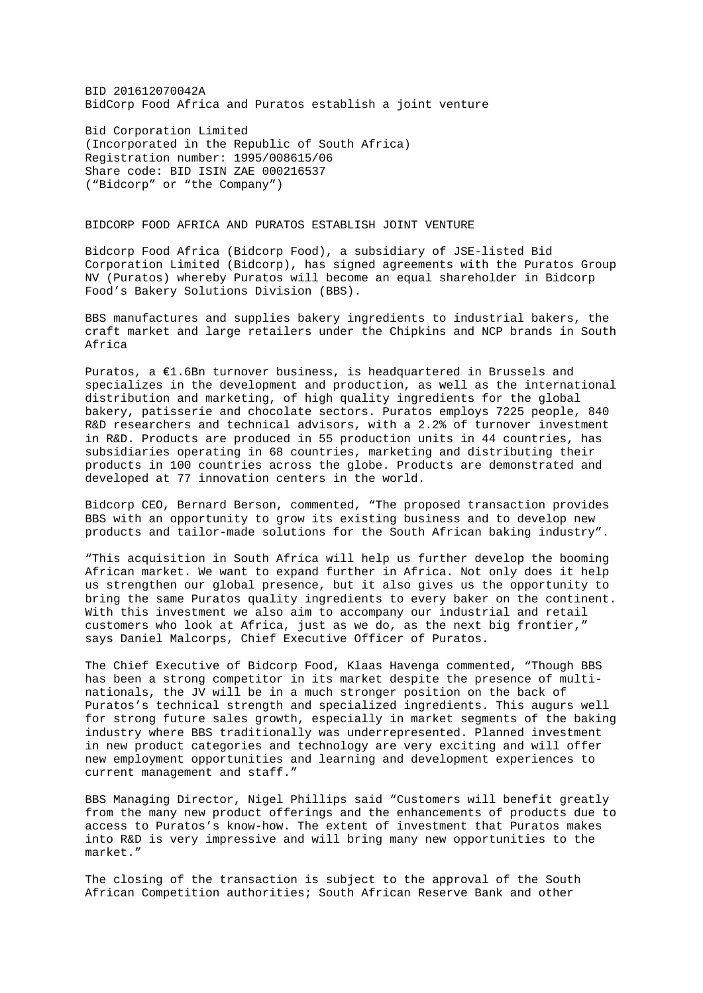BID 201612070042A BidCorp Food Africa and Puratos establish a joint venture

Bid Corporation Limited (Incorporated in the Republic of South Africa) Registration number: 1995/008615/06 Share code: BID ISIN ZAE 000216537 ("Bidcorp" or "the Company")

## BIDCORP FOOD AFRICA AND PURATOS ESTABLISH JOINT VENTURE

Bidcorp Food Africa (Bidcorp Food), a subsidiary of JSE-listed Bid Corporation Limited (Bidcorp), has signed agreements with the Puratos Group NV (Puratos) whereby Puratos will become an equal shareholder in Bidcorp Food's Bakery Solutions Division (BBS).

BBS manufactures and supplies bakery ingredients to industrial bakers, the craft market and large retailers under the Chipkins and NCP brands in South Africa

Puratos, a  $E1.6Bn$  turnover business, is headquartered in Brussels and specializes in the development and production, as well as the international distribution and marketing, of high quality ingredients for the global bakery, patisserie and chocolate sectors. Puratos employs 7225 people, 840 R&D researchers and technical advisors, with a 2.2% of turnover investment in R&D. Products are produced in 55 production units in 44 countries, has subsidiaries operating in 68 countries, marketing and distributing their products in 100 countries across the globe. Products are demonstrated and developed at 77 innovation centers in the world.

Bidcorp CEO, Bernard Berson, commented, "The proposed transaction provides BBS with an opportunity to grow its existing business and to develop new products and tailor-made solutions for the South African baking industry".

"This acquisition in South Africa will help us further develop the booming African market. We want to expand further in Africa. Not only does it help us strengthen our global presence, but it also gives us the opportunity to bring the same Puratos quality ingredients to every baker on the continent. With this investment we also aim to accompany our industrial and retail customers who look at Africa, just as we do, as the next big frontier," says Daniel Malcorps, Chief Executive Officer of Puratos.

The Chief Executive of Bidcorp Food, Klaas Havenga commented, "Though BBS has been a strong competitor in its market despite the presence of multinationals, the JV will be in a much stronger position on the back of Puratos's technical strength and specialized ingredients. This augurs well for strong future sales growth, especially in market segments of the baking industry where BBS traditionally was underrepresented. Planned investment in new product categories and technology are very exciting and will offer new employment opportunities and learning and development experiences to current management and staff."

BBS Managing Director, Nigel Phillips said "Customers will benefit greatly from the many new product offerings and the enhancements of products due to access to Puratos's know-how. The extent of investment that Puratos makes into R&D is very impressive and will bring many new opportunities to the market."

The closing of the transaction is subject to the approval of the South African Competition authorities; South African Reserve Bank and other